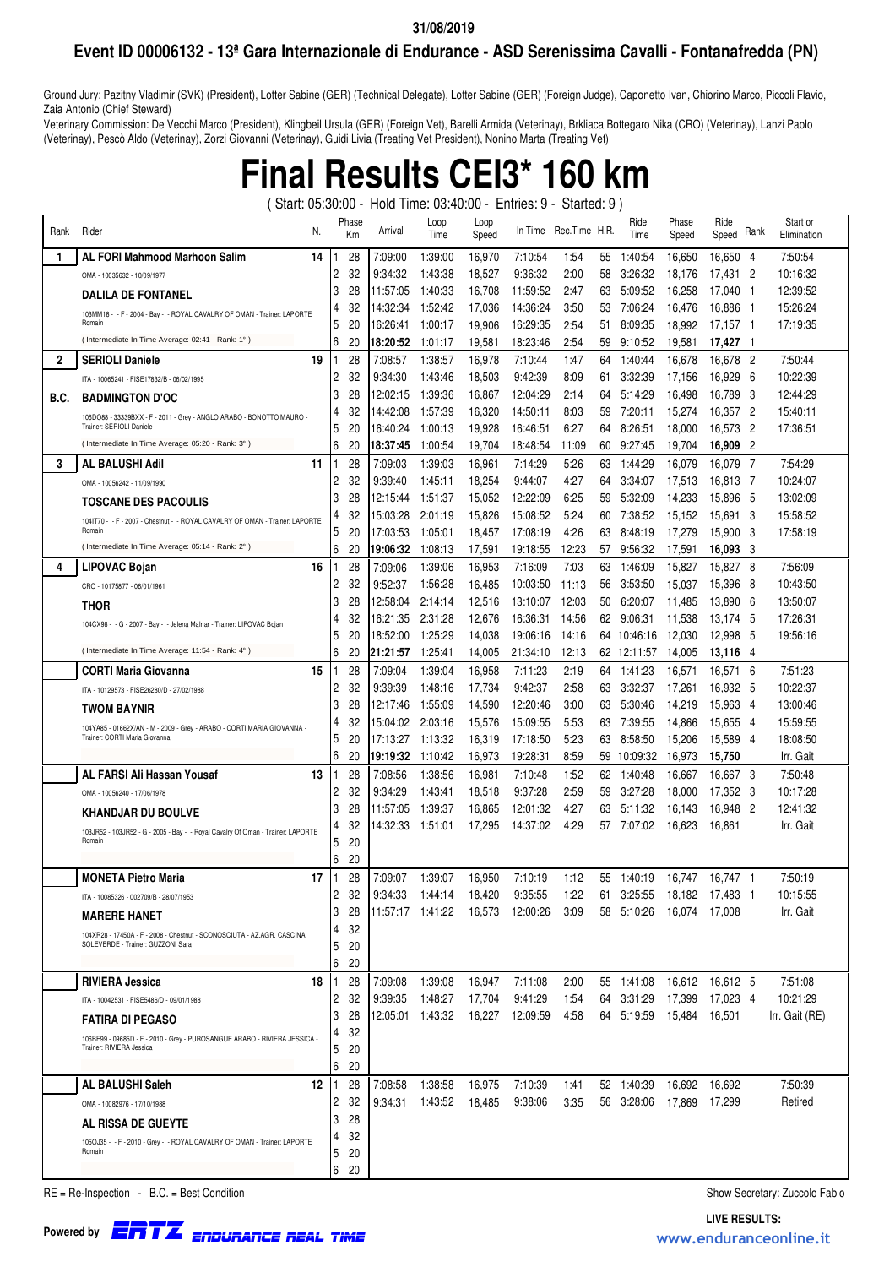## **Event ID 00006132 - 13ª Gara Internazionale di Endurance - ASD Serenissima Cavalli - Fontanafredda (PN)**

Ground Jury: Pazitny Vladimir (SVK) (President), Lotter Sabine (GER) (Technical Delegate), Lotter Sabine (GER) (Foreign Judge), Caponetto Ivan, Chiorino Marco, Piccoli Flavio, Zaia Antonio (Chief Steward)

Veterinary Commission: De Vecchi Marco (President), Klingbeil Ursula (GER) (Foreign Vet), Barelli Armida (Veterinay), Brkliaca Bottegaro Nika (CRO) (Veterinay), Lanzi Paolo (Veterinay), Pescò Aldo (Veterinay), Zorzi Giovanni (Veterinay), Guidi Livia (Treating Vet President), Nonino Marta (Treating Vet)

## **Final Results CEI3\* 160 km**

( Start: 05:30:00 - Hold Time: 03:40:00 - Entries: 9 - Started: 9 )

| Rank         | Rider<br>N.                                                                                           |                | Phase<br>Кm | Arrival              | Loop<br>Time       | Loop<br>Speed    | In Time              | Rec.Time H.R. |          | Ride<br>Time               | Phase<br>Speed   | Ride<br>Speed        | <b>Hank</b> | Start or<br>Elimination |
|--------------|-------------------------------------------------------------------------------------------------------|----------------|-------------|----------------------|--------------------|------------------|----------------------|---------------|----------|----------------------------|------------------|----------------------|-------------|-------------------------|
| 1            | <b>AL FORI Mahmood Marhoon Salim</b><br>14                                                            |                | 28          | 7:09:00              | 1:39:00            | 16,970           | 7:10:54              | 1.54          | 55       | 1:40:54                    | 16,650           | 16,650 4             |             | 7:50:54                 |
|              | OMA - 10035632 - 10/09/1977                                                                           | 2              | 32          | 9:34:32              | 1:43:38            | 18,527           | 9:36:32              | 2:00          | 58       | 3:26:32                    | 18,176           | 17,431               | -2          | 10:16:32                |
|              | <b>DALILA DE FONTANEL</b>                                                                             | 13             | 28          | 11:57:05             | 1:40:33            | 16,708           | 11:59:52             | 2:47          | 63       | 5:09:52                    | 16,258           | 17,040               | - 1         | 12:39:52                |
|              | 103MM18 - - F - 2004 - Bay - - ROYAL CAVALRY OF OMAN - Trainer: LAPORTE                               | 4              | 32          | 14:32:34             | 1:52:42            | 17,036           | 14:36:24             | 3:50          | 53       | 7:06:24                    | 16,476           | 16,886               | - 1         | 15:26:24                |
|              | Romain                                                                                                | 5              | 20          | 16:26:41             | 1:00:17            | 19,906           | 16:29:35             | 2:54          | 51       | 8:09:35                    | 18,992           | 17,157               | - 1         | 17:19:35                |
|              | (Intermediate In Time Average: 02:41 - Rank: 1°)                                                      | 6              | 20          | 18:20:52             | 1:01:17            | 19,581           | 18:23:46             | 2:54          | 59       | 9:10:52                    | 19,581           | 17,427               | -1          |                         |
| $\mathbf{2}$ | <b>SERIOLI Daniele</b><br>19                                                                          |                | 28          | 7:08:57              | 1:38:57            | 16,978           | 7:10:44              | 1:47          | 64       | 1:40:44                    | 16,678           | 16,678               | - 2         | 7:50:44                 |
|              | ITA - 10065241 - FISE17832/B - 06/02/1995                                                             | $\overline{2}$ | 32          | 9:34:30              | 1:43:46            | 18,503           | 9:42:39              | 8:09          | 61       | 3:32:39                    | 17,156           | 16,929               | - 6         | 10:22:39                |
| B.C.         | <b>BADMINGTON D'OC</b>                                                                                | 3              | 28          | 12:02:15             | 1:39:36            | 16,867           | 12:04:29             | 2:14          | 64       | 5:14:29                    | 16,498           | 16,789               | -3          | 12:44:29                |
|              | 106DO88 - 33339BXX - F - 2011 - Grey - ANGLO ARABO - BONOTTO MAURO<br>Trainer: SERIOLI Daniele        | 4              | 32          | 14:42:08             | 1:57:39            | 16,320           | 14:50:11             | 8:03          | 59       | 7:20:11                    | 15,274           | 16,357               | -2          | 15:40:11                |
|              | (Intermediate In Time Average: 05:20 - Rank: 3°)                                                      | 5<br>6         | 20<br>20    | 16:40:24<br>18:37:45 | 1:00:13<br>1:00:54 | 19,928           | 16:46:51<br>18:48:54 | 6:27<br>11:09 | 64<br>60 | 8:26:51<br>9:27:45         | 18,000<br>19,704 | 16,573<br>16,909     | -2<br>-2    | 17:36:51                |
| 3            | 11<br>AL BALUSHI Adil                                                                                 |                | 28          | 7:09:03              | 1:39:03            | 19,704<br>16,961 | 7:14:29              | 5:26          | 63       | 1:44:29                    | 16,079           | 16,079               | - 7         | 7:54:29                 |
|              |                                                                                                       | $\overline{2}$ | 32          | 9:39:40              | 1:45:11            | 18,254           | 9:44:07              | 4:27          | 64       | 3:34:07                    | 17,513           | 16,813 7             |             | 10:24:07                |
|              | OMA - 10056242 - 11/09/1990                                                                           | 3              | 28          | 12:15:44             | 1:51:37            | 15,052           | 12:22:09             | 6:25          | 59       | 5:32:09                    | 14,233           | 15,896               | -5          | 13:02:09                |
|              | <b>TOSCANE DES PACOULIS</b>                                                                           |                | 32          | 15:03:28             | 2:01:19            | 15,826           | 15:08:52             | 5:24          | 60       | 7:38:52                    | 15,152           | 15,691               | -3          | 15:58:52                |
|              | 104IT70 - - F - 2007 - Chestnut - - ROYAL CAVALRY OF OMAN - Trainer: LAPORTE<br>Romain                | 5              | 20          | 17:03:53             | 1:05:01            | 18,457           | 17:08:19             | 4:26          | 63       | 8:48:19                    | 17,279           | 15,900               | -3          | 17:58:19                |
|              | (Intermediate In Time Average: 05:14 - Rank: 2°)                                                      | 6              | 20          | 19:06:32             | 1:08:13            | 17,591           | 19:18:55             | 12:23         | 57       | 9:56:32                    | 17,591           | 16,093               | -3          |                         |
| 4            | 16<br>LIPOVAC Bojan                                                                                   |                | 28          | 7:09:06              | 1:39:06            | 16,953           | 7:16:09              | 7:03          | 63       | 1:46:09                    | 15,827           | 15,827               | -8          | 7:56:09                 |
|              | CRO - 10175877 - 06/01/1961                                                                           | $\overline{2}$ | 32          | 9:52:37              | 1.56.28            | 16,485           | 10:03:50             | 11:13         | 56       | 3:53:50                    | 15,037           | 15,396               | - 8         | 10:43:50                |
|              | <b>THOR</b>                                                                                           | 3              | 28          | 12:58:04             | 2:14:14            | 12,516           | 13:10:07             | 12:03         | 50       | 6:20:07                    | 11,485           | 13,890               | -6          | 13:50:07                |
|              | 104CX98 - - G - 2007 - Bay - - Jelena Malnar - Trainer: LIPOVAC Bojan                                 | 4              | 32          | 16:21:35             | 2:31:28            | 12,676           | 16:36:31             | 14:56         | 62       | 9:06:31                    | 11,538           | 13,174               | -5          | 17:26:31                |
|              |                                                                                                       | 5              | 20          | 18:52:00             | 1:25:29            | 14,038           | 19:06:16             | 14:16         | 64       | 10:46:16                   | 12,030           | 12,998               | -5          | 19:56:16                |
|              | (Intermediate In Time Average: 11:54 - Rank: 4°)                                                      | 6              | 20          | 21:21:57             | 1:25:41            | 14,005           | 21:34:10             | 12:13         |          | 62 12:11:57                | 14,005           | 13,116               | -4          |                         |
|              | <b>CORTI Maria Giovanna</b><br>15                                                                     |                | 28          | 7:09:04              | 1:39:04            | 16,958           | 7:11:23              | 2:19          | 64       | 1:41:23                    | 16,571           | 16,571               | -6          | 7:51:23                 |
|              | ITA - 10129573 - FISE26280/D - 27/02/1988                                                             | $\overline{2}$ | 32          | 9:39:39              | 1:48:16            | 17,734           | 9:42:37              | 2:58          | 63       | 3:32:37                    | 17,261           | 16,932               | -5          | 10:22:37                |
|              | <b>TWOM BAYNIR</b>                                                                                    | 3              | 28          | 12:17:46             | 1:55:09            | 14,590           | 12:20:46             | 3:00          | 63       | 5:30:46                    | 14,219           | 15,963               | - 4         | 13:00:46                |
|              | 104YA85 - 01662X/AN - M - 2009 - Grey - ARABO - CORTI MARIA GIOVANNA -                                | 4              | 32          | 15:04:02             | 2:03:16            | 15,576           | 15:09:55             | 5.53          | 63       | 7:39:55                    | 14,866           | 15,655               | - 4         | 15:59:55                |
|              | Trainer: CORTI Maria Giovanna                                                                         | 5              | 20          | 17:13:27             | 1:13:32            | 16,319           | 17:18:50             | 5:23          | 63       | 8:58:50                    | 15,206           | 15,589               | - 4         | 18:08:50                |
|              |                                                                                                       | 6              | 20          | 19:19:32             | 1:10:42            | 16,973           | 19:28:31             | 8.59          | 59.      | 10:09:32                   | 16,973           | 15,750               |             | Irr. Gait               |
|              | AL FARSI Ali Hassan Yousaf<br>13                                                                      | 2              | 28<br>32    | 7:08:56<br>9:34:29   | 1:38:56<br>1:43:41 | 16,981<br>18,518 | 7:10:48<br>9:37:28   | 1:52<br>2.59  | 62<br>59 | 1:40:48<br>3:27:28         | 16,667<br>18,000 | 16,667 3<br>17.352 3 |             | 7:50:48<br>10:17:28     |
|              | OMA - 10056240 - 17/06/1978                                                                           | 3              | 28          | 11:57:05             | 1:39:37            | 16,865           | 12:01:32             | 4:27          | 63       | 5:11:32                    | 16,143           | 16,948               | - 2         | 12:41:32                |
|              | <b>KHANDJAR DU BOULVE</b>                                                                             |                | 32          | 14:32:33             | 1:51:01            | 17,295           | 14:37:02             | 4:29          | 57       | 7:07:02                    | 16,623           | 16,861               |             | Irr. Gait               |
|              | 103JR52 - 103JR52 - G - 2005 - Bay - - Royal Cavalry Of Oman - Trainer: LAPORTE<br>Romain             | 5              | 20          |                      |                    |                  |                      |               |          |                            |                  |                      |             |                         |
|              |                                                                                                       | 6              | 20          |                      |                    |                  |                      |               |          |                            |                  |                      |             |                         |
|              | <b>MONETA Pietro Maria</b><br>17                                                                      |                | 28          | 7:09:07              | 1:39:07            | 16,950           | 7:10:19              | 1:12          | 55       | 1:40:19                    | 16,747           | 16.747 1             |             | 7:50:19                 |
|              | ITA - 10085326 - 002709/B - 28/07/1953                                                                | 2              | 32          | 9:34:33              | 1:44:14            | 18,420           | 9:35:55              | 1:22          |          | 61 3:25:55 18,182 17,483 1 |                  |                      |             | 10:15:55                |
|              | <b>MARERE HANET</b>                                                                                   | 3              | 28          | 11:57:17 1:41:22     |                    |                  | 16,573 12:00:26      | 3:09          |          | 58 5:10:26                 | 16,074           | 17.008               |             | Irr. Gait               |
|              | 104XR28 - 17450A - F - 2008 - Chestnut - SCONOSCIUTA - AZ.AGR. CASCINA                                | 4              | 32          |                      |                    |                  |                      |               |          |                            |                  |                      |             |                         |
|              | SOLEVERDE - Trainer: GUZZONI Sara                                                                     | 5              | 20          |                      |                    |                  |                      |               |          |                            |                  |                      |             |                         |
|              |                                                                                                       | 6              | 20          |                      |                    |                  |                      |               |          |                            |                  |                      |             |                         |
|              | <b>RIVIERA Jessica</b><br>18                                                                          |                | 28          | 7:09:08              | 1:39:08            | 16,947           | 7:11:08              | 2:00          |          | 55 1:41:08                 | 16,612 16,612 5  |                      |             | 7:51:08                 |
|              | ITA - 10042531 - FISE5486/D - 09/01/1988                                                              | 2              | 32          | 9:39:35              | 1:48:27            | 17,704           | 9:41:29              | 1:54          |          | 64 3:31:29                 | 17,399           | 17,023 4             |             | 10:21:29                |
|              | <b>FATIRA DI PEGASO</b>                                                                               | 13             | 28          |                      | 12:05:01 1:43:32   |                  | 16,227 12:09:59      | 4:58          |          | 64 5:19:59                 | 15,484 16,501    |                      |             | Irr. Gait (RE)          |
|              | 106BE99 - 09685D - F - 2010 - Grey - PUROSANGUE ARABO - RIVIERA JESSICA -<br>Trainer: RIVIERA Jessica | 4<br>5         | 32<br>20    |                      |                    |                  |                      |               |          |                            |                  |                      |             |                         |
|              |                                                                                                       | 6              | 20          |                      |                    |                  |                      |               |          |                            |                  |                      |             |                         |
|              | AL BALUSHI Saleh<br>12                                                                                |                | 28          | 7:08:58              | 1:38:58            | 16,975           | 7:10:39              | 1.41          |          | 52 1:40:39                 | 16,692 16,692    |                      |             | 7:50:39                 |
|              | OMA - 10082976 - 17/10/1988                                                                           | 2              | 32          | 9:34:31              | 1:43:52            | 18,485           | 9:38:06              | 3:35          |          | 56 3:28:06                 | 17,869           | 17,299               |             | Retired                 |
|              |                                                                                                       | 3              | 28          |                      |                    |                  |                      |               |          |                            |                  |                      |             |                         |
|              | AL RISSA DE GUEYTE                                                                                    | 4              | 32          |                      |                    |                  |                      |               |          |                            |                  |                      |             |                         |
|              | 105OJ35 - - F - 2010 - Grey - - ROYAL CAVALRY OF OMAN - Trainer: LAPORTE<br>Romain                    | 5              | 20          |                      |                    |                  |                      |               |          |                            |                  |                      |             |                         |
|              |                                                                                                       | 6              | 20          |                      |                    |                  |                      |               |          |                            |                  |                      |             |                         |

RE = Re-Inspection - B.C. = Best Condition Show Secretary: Zuccolo Fabio

Endurance Real Time **LIVE RESULTS:** ERTZ www.enduranceonline.it **Powered by**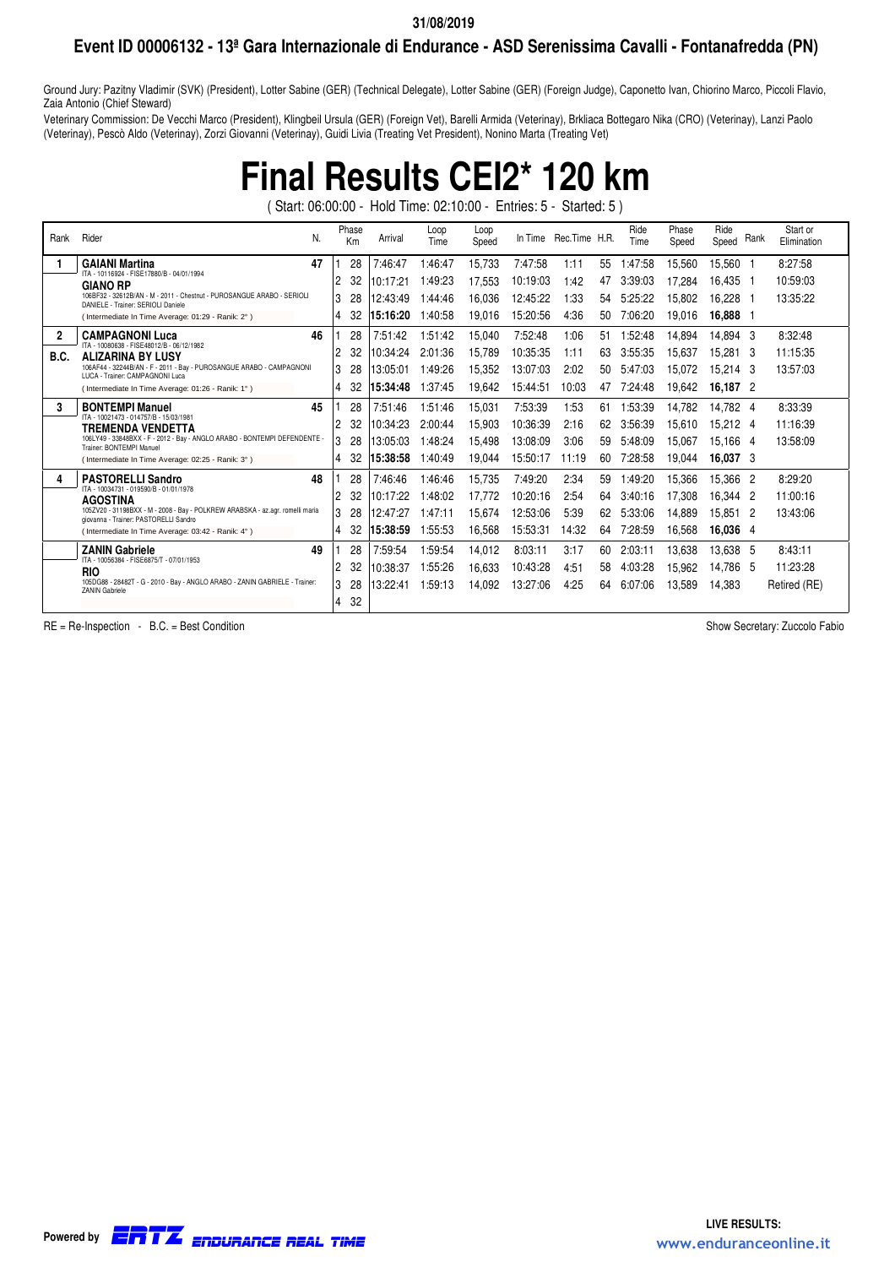### **Event ID 00006132 - 13ª Gara Internazionale di Endurance - ASD Serenissima Cavalli - Fontanafredda (PN)**

Ground Jury: Pazitny Vladimir (SVK) (President), Lotter Sabine (GER) (Technical Delegate), Lotter Sabine (GER) (Foreign Judge), Caponetto Ivan, Chiorino Marco, Piccoli Flavio, Zaia Antonio (Chief Steward)

Veterinary Commission: De Vecchi Marco (President), Klingbeil Ursula (GER) (Foreign Vet), Barelli Armida (Veterinay), Brkliaca Bottegaro Nika (CRO) (Veterinay), Lanzi Paolo (Veterinay), Pescò Aldo (Veterinay), Zorzi Giovanni (Veterinay), Guidi Livia (Treating Vet President), Nonino Marta (Treating Vet)

## **Final Results CEI2\* 120 km**

( Start: 06:00:00 - Hold Time: 02:10:00 - Entries: 5 - Started: 5 )

| Rank | Rider                                                                                                                  | N. |                | Phase<br>Km | Arrival  | Loop<br>Time | Loop<br>Speed | In Time  | Rec.Time H.R. |    | Ride<br>Time | Phase<br>Speed | Ride<br>Speed | Rank | Start or<br>Elimination |
|------|------------------------------------------------------------------------------------------------------------------------|----|----------------|-------------|----------|--------------|---------------|----------|---------------|----|--------------|----------------|---------------|------|-------------------------|
|      | <b>GAIANI Martina</b>                                                                                                  | 47 |                | 28          | 7:46:47  | 1:46:47      | 15,733        | 7:47:58  | 1:11          | 55 | 1:47:58      | 15,560         | 15.560 1      |      | 8:27:58                 |
|      | ITA - 10116924 - FISE17880/B - 04/01/1994<br><b>GIANO RP</b>                                                           |    | 2              | 32          | 10:17:21 | 1:49:23      | 17,553        | 10:19:03 | 1:42          | 47 | 3:39:03      | 17,284         | 16,435 1      |      | 10:59:03                |
|      | 106BF32 - 32612B/AN - M - 2011 - Chestnut - PUROSANGUE ARABO - SERIOLI<br>DANIELE - Trainer: SERIOLI Daniele           |    | 3              | 28          | 12:43:49 | l:44:46      | 16,036        | 12:45:22 | 1:33          | 54 | 5:25:22      | 15,802         | 16,228        |      | 13:35:22                |
|      | (Intermediate In Time Average: 01:29 - Ranik: 2°)                                                                      |    | 4              | 32          | 15:16:20 | 1:40:58      | 19,016        | 15:20:56 | 4:36          | 50 | 7:06:20      | 19,016         | 16,888 1      |      |                         |
|      | <b>CAMPAGNONI Luca</b>                                                                                                 | 46 |                | 28          | 7:51:42  | 1:51:42      | 15,040        | 7:52:48  | 1:06          | 51 | 1:52:48      | 14,894         | 14.894 3      |      | 8:32:48                 |
| B.C. | ITA - 10080638 - FISE48012/B - 06/12/1982<br><b>ALIZARINA BY LUSY</b>                                                  |    | $\overline{c}$ | 32          | 10:34:24 | 2:01:36      | 15,789        | 10:35:35 | 1:11          | 63 | 3:55:35      | 15.637         | 15,281 3      |      | 11:15:35                |
|      | 106AF44 - 32244B/AN - F - 2011 - Bay - PUROSANGUE ARABO - CAMPAGNONI<br>LUCA - Trainer: CAMPAGNONI Luca                |    | 3              | 28          | 13:05:01 | :49:26       | 15,352        | 13:07:03 | 2:02          | 50 | 5:47:03      | 15,072         | 15.214 3      |      | 13:57:03                |
|      | (Intermediate In Time Average: 01:26 - Ranik: 1°)                                                                      |    | 4              | 32          | 15:34:48 | 1:37:45      | 19,642        | 15:44:51 | 10:03         | 47 | 7:24:48      | 19.642         | 16,187 2      |      |                         |
| 3    | <b>BONTEMPI Manuel</b>                                                                                                 | 45 |                | 28          | 7:51:46  | 1:51:46      | 15,031        | 7:53:39  | 1:53          | 61 | 1:53:39      | 14,782         | 14,782 4      |      | 8:33:39                 |
|      | ITA - 10021473 - 014757/B - 15/03/1981<br>TREMENDA VENDETTA                                                            |    | 2              | 32          | 10:34:23 | 2:00:44      | 15,903        | 10:36:39 | 2:16          | 62 | 3:56:39      | 15,610         | 15,212 4      |      | 11:16:39                |
|      | 106LY49 - 33848BXX - F - 2012 - Bay - ANGLO ARABO - BONTEMPI DEFENDENTE<br>Trainer: BONTEMPI Manuel                    |    | 3              | 28          | 13:05:03 | 1:48:24      | 15,498        | 13:08:09 | 3:06          | 59 | 5:48:09      | 15,067         | 15.166 4      |      | 13:58:09                |
|      | (Intermediate In Time Average: 02:25 - Ranik: 3°)                                                                      |    | 4              | 32          | 15:38:58 | 1:40:49      | 19,044        | 15:50:17 | 11:19         | 60 | 7:28:58      | 19,044         | 16,037 3      |      |                         |
| 4    | <b>PASTORELLI Sandro</b>                                                                                               | 48 |                | 28          | 7:46:46  | 1:46:46      | 15,735        | 7:49:20  | 2:34          | 59 | 1:49:20      | 15,366         | 15,366 2      |      | 8:29:20                 |
|      | ITA - 10034731 - 019590/B - 01/01/1978<br><b>AGOSTINA</b>                                                              |    | $\overline{c}$ | 32          | 10:17:22 | 1:48:02      | 17.772        | 10:20:16 | 2:54          | 64 | 3:40:16      | 17.308         | 16.344 2      |      | 11:00:16                |
|      | 105ZV20 - 31198BXX - M - 2008 - Bay - POLKREW ARABSKA - az.agr. romelli maria<br>giovanna - Trainer: PASTORELLI Sandro |    | 3              | 28          | 12:47:27 | 1:47:11      | 15,674        | 12:53:06 | 5:39          | 62 | 5:33:06      | 14,889         | 15,851 2      |      | 13:43:06                |
|      | (Intermediate In Time Average: 03:42 - Ranik: 4°)                                                                      |    | 4              | 32          | 15:38:59 | 1:55:53      | 16,568        | 15:53:31 | 14:32         | 64 | 7:28:59      | 16,568         | 16,036 4      |      |                         |
|      | <b>ZANIN Gabriele</b>                                                                                                  | 49 |                | 28          | 7:59:54  | 1:59:54      | 14,012        | 8:03:11  | 3:17          | 60 | 2:03:11      | 13,638         | 13,638 5      |      | 8:43:11                 |
|      | ITA - 10056384 - FISE6875/T - 07/01/1953<br><b>RIO</b>                                                                 |    | 2              | 32          | 10:38:37 | 1:55:26      | 16,633        | 10:43:28 | 4:51          | 58 | 4:03:28      | 15,962         | 14,786 5      |      | 11:23:28                |
|      | 105DG88 - 28482T - G - 2010 - Bay - ANGLO ARABO - ZANIN GABRIELE - Trainer:<br><b>ZANIN Gabriele</b>                   |    | 3              | 28          | 13:22:41 | 1:59:13      | 14,092        | 13:27:06 | 4:25          | 64 | 6:07:06      | 13.589         | 14.383        |      | Retired (RE)            |
|      |                                                                                                                        |    | 4              | 32          |          |              |               |          |               |    |              |                |               |      |                         |

RE = Re-Inspection - B.C. = Best Condition Show Secretary: Zuccolo Fabio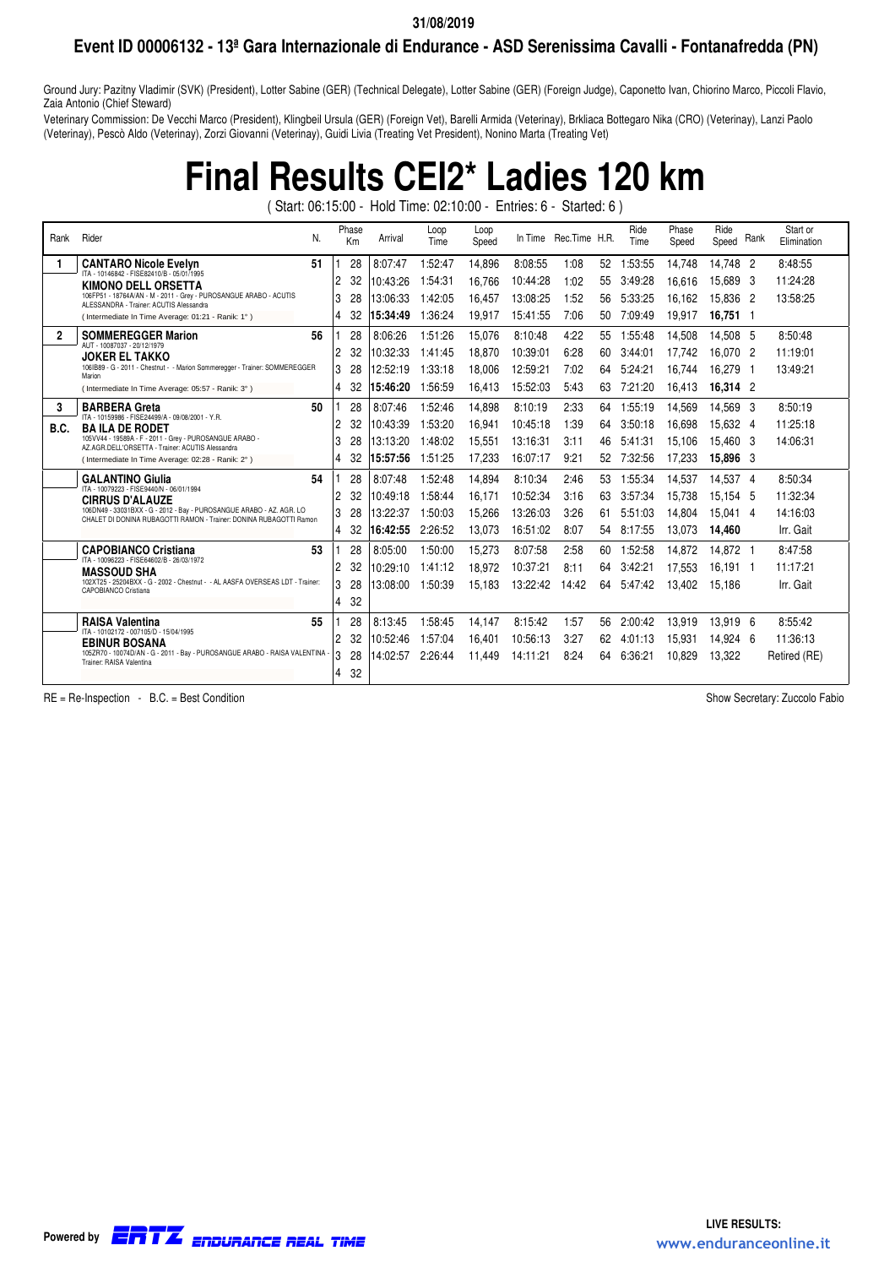### **Event ID 00006132 - 13ª Gara Internazionale di Endurance - ASD Serenissima Cavalli - Fontanafredda (PN)**

Ground Jury: Pazitny Vladimir (SVK) (President), Lotter Sabine (GER) (Technical Delegate), Lotter Sabine (GER) (Foreign Judge), Caponetto Ivan, Chiorino Marco, Piccoli Flavio, Zaia Antonio (Chief Steward)

Veterinary Commission: De Vecchi Marco (President), Klingbeil Ursula (GER) (Foreign Vet), Barelli Armida (Veterinay), Brkliaca Bottegaro Nika (CRO) (Veterinay), Lanzi Paolo (Veterinay), Pescò Aldo (Veterinay), Zorzi Giovanni (Veterinay), Guidi Livia (Treating Vet President), Nonino Marta (Treating Vet)

## **Final Results CEI2\* Ladies 120 km**

( Start: 06:15:00 - Hold Time: 02:10:00 - Entries: 6 - Started: 6 )

| Rank           | Rider                                                                                                                                      | N. | Phase<br>Km          | Arrival  | Loop<br>Time | Loop<br>Speed | In Time  | Rec.Time H.R. |    | Ride<br>Time | Phase<br>Speed | Ride<br>Speed Rank |     | Start or<br>Elimination |
|----------------|--------------------------------------------------------------------------------------------------------------------------------------------|----|----------------------|----------|--------------|---------------|----------|---------------|----|--------------|----------------|--------------------|-----|-------------------------|
|                | <b>CANTARO Nicole Evelyn</b>                                                                                                               | 51 | 28                   | 8:07:47  | 1:52:47      | 14.896        | 8:08:55  | 1:08          | 52 | 1:53:55      | 14,748         | 14.748 2           |     | 8:48:55                 |
|                | ITA - 10146842 - FISE82410/B - 05/01/1995<br><b>KIMONO DELL ORSETTA</b>                                                                    |    | 2<br>32              | 10:43:26 | 1:54:31      | 16.766        | 10:44:28 | 1:02          | 55 | 3:49:28      | 16.616         | 15,689 3           |     | 11:24:28                |
|                | 106FP51 - 18764A/AN - M - 2011 - Grey - PUROSANGUE ARABO - ACUTIS<br>ALESSANDRA - Trainer: ACUTIS Alessandra                               |    | 3<br>28              | 13:06:33 | 1:42:05      | 16.457        | 13:08:25 | 1:52          | 56 | 5:33:25      | 16.162         | 15.836 2           |     | 13:58:25                |
|                | (Intermediate In Time Average: 01:21 - Ranik: 1°)                                                                                          |    | 4                    | 15:34:49 | 1:36:24      | 19,917        | 15:41:55 | 7:06          | 50 | 7:09:49      | 19,917         | 16,751 1           |     |                         |
| $\overline{2}$ | <b>SOMMEREGGER Marion</b>                                                                                                                  | 56 | 28                   | 8:06:26  | 1:51:26      | 15,076        | 8:10:48  | 4:22          | 55 | 1:55:48      | 14,508         | 14.508 5           |     | 8:50:48                 |
|                | AUT - 10087037 - 20/12/1979<br><b>JOKER EL TAKKO</b>                                                                                       |    | $\overline{c}$<br>32 | 10:32:33 | 1:41:45      | 18.870        | 10:39:01 | 6:28          | 60 | 3:44:01      | 17.742         | 16.070 2           |     | 11:19:01                |
|                | 106IB89 - G - 2011 - Chestnut - - Marion Sommeregger - Trainer: SOMMEREGGER<br>Marion                                                      |    | 3<br>28              | 12:52:19 | 1:33:18      | 18.006        | 12:59:21 | 7:02          | 64 | 5:24:21      | 16.744         | 16.279             | - 1 | 13:49:21                |
|                | (Intermediate In Time Average: 05:57 - Ranik: 3°)                                                                                          |    | 4<br>32              | 15:46:20 | 1:56:59      | 16,413        | 15:52:03 | 5:43          | 63 | 7:21:20      | 16,413         | 16,314 2           |     |                         |
| 3              | <b>BARBERA Greta</b>                                                                                                                       | 50 | 28                   | 8:07:46  | 1:52:46      | 14.898        | 8:10:19  | 2:33          | 64 | 1:55:19      | 14.569         | 14.569 3           |     | 8:50:19                 |
| B.C.           | ITA - 10159986 - FISE24499/A - 09/08/2001 - Y.R.<br><b>BAILA DE RODET</b>                                                                  |    | 2<br>32              | 10:43:39 | 1:53:20      | 16,941        | 10:45:18 | 1:39          | 64 | 3:50:18      | 16.698         | 15.632 4           |     | 11:25:18                |
|                | 105VV44 - 19589A - F - 2011 - Grey - PUROSANGUE ARABO -<br>AZ.AGR.DELL'ORSETTA - Trainer: ACUTIS Alessandra                                |    | 3<br>28              | 13:13:20 | 1:48:02      | 15,551        | 13:16:31 | 3:11          | 46 | 5:41:31      | 15.106         | 15.460 3           |     | 14:06:31                |
|                | (Intermediate In Time Average: 02:28 - Ranik: 2°)                                                                                          |    | 4<br>32              | 15:57:56 | 1:51:25      | 17,233        | 16:07:17 | 9:21          | 52 | 7:32:56      | 17,233         | 15,896 3           |     |                         |
|                | <b>GALANTINO Giulia</b>                                                                                                                    | 54 | 28                   | 8:07:48  | 1:52:48      | 14,894        | 8:10:34  | 2:46          | 53 | 1:55:34      | 14,537         | 14.537 4           |     | 8:50:34                 |
|                | ITA - 10079223 - FISE9440/N - 06/01/1994<br><b>CIRRUS D'ALAUZE</b>                                                                         |    | $\overline{c}$<br>32 | 10:49:18 | 1:58:44      | 16.171        | 10:52:34 | 3:16          | 63 | 3:57:34      | 15.738         | 15.154 5           |     | 11:32:34                |
|                | 106DN49 - 33031BXX - G - 2012 - Bay - PUROSANGUE ARABO - AZ. AGR. LO<br>CHALET DI DONINA RUBAGOTTI RAMON - Trainer: DONINA RUBAGOTTI Ramon |    | 3<br>28              | 13:22:37 | 1:50:03      | 15,266        | 13:26:03 | 3:26          | 61 | 5:51:03      | 14.804         | 15.041 4           |     | 14:16:03                |
|                |                                                                                                                                            |    | 4<br>32              | 16:42:55 | 2:26:52      | 13,073        | 16:51:02 | 8:07          | 54 | 8:17:55      | 13,073         | 14,460             |     | Irr. Gait               |
|                | <b>CAPOBIANCO Cristiana</b>                                                                                                                | 53 | 28                   | 8:05:00  | 1:50:00      | 15,273        | 8:07:58  | 2:58          | 60 | 1:52:58      | 14,872         | 14.872 1           |     | 8:47:58                 |
|                | ITA - 10096223 - FISE64602/B - 26/03/1972<br><b>MASSOUD SHA</b>                                                                            |    | $\overline{c}$<br>32 | 10:29:10 | 1:41:12      | 18.972        | 10:37:21 | 8:11          | 64 | 3:42:21      | 17.553         | 16.191 1           |     | 11:17:21                |
|                | 102XT25 - 25204BXX - G - 2002 - Chestnut - - AL AASFA OVERSEAS LDT - Trainer:<br>CAPOBIANCO Cristiana                                      |    | 3<br>28              | 13:08:00 | 1:50:39      | 15,183        | 13:22:42 | 14:42         | 64 | 5:47:42      | 13,402         | 15.186             |     | Irr. Gait               |
|                |                                                                                                                                            |    | 4<br>32              |          |              |               |          |               |    |              |                |                    |     |                         |
|                | <b>RAISA Valentina</b>                                                                                                                     | 55 | 28                   | 8:13:45  | 1:58:45      | 14.147        | 8:15:42  | 1:57          | 56 | 2:00:42      | 13.919         | 13.919 6           |     | 8:55:42                 |
|                | ITA - 10102172 - 007105/D - 15/04/1995<br><b>EBINUR BOSANA</b>                                                                             |    | 2<br>32              | 10:52:46 | 1:57:04      | 16.401        | 10:56:13 | 3:27          | 62 | 4:01:13      | 15.931         | 14.924 6           |     | 11:36:13                |
|                | 105ZR70 - 10074D/AN - G - 2011 - Bay - PUROSANGUE ARABO - RAISA VALENTINA<br>Trainer: RAISA Valentina                                      |    | 3<br>28              | 14:02:57 | 2:26:44      | 11.449        | 14:11:21 | 8:24          | 64 | 6:36:21      | 10.829         | 13.322             |     | Retired (RE)            |
|                |                                                                                                                                            |    | 4<br>32              |          |              |               |          |               |    |              |                |                    |     |                         |

RE = Re-Inspection - B.C. = Best Condition Show Secretary: Zuccolo Fabio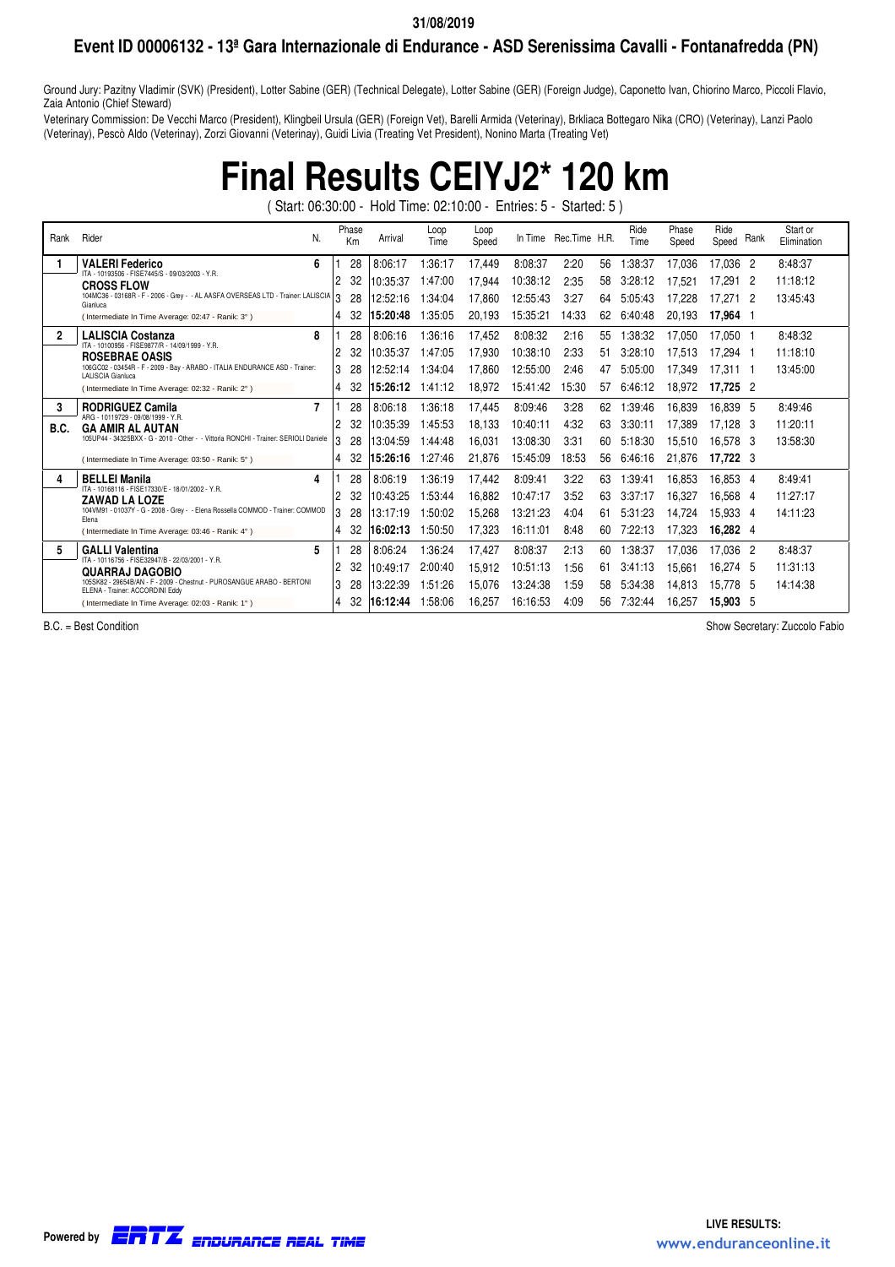### **Event ID 00006132 - 13ª Gara Internazionale di Endurance - ASD Serenissima Cavalli - Fontanafredda (PN)**

Ground Jury: Pazitny Vladimir (SVK) (President), Lotter Sabine (GER) (Technical Delegate), Lotter Sabine (GER) (Foreign Judge), Caponetto Ivan, Chiorino Marco, Piccoli Flavio, Zaia Antonio (Chief Steward)

Veterinary Commission: De Vecchi Marco (President), Klingbeil Ursula (GER) (Foreign Vet), Barelli Armida (Veterinay), Brkliaca Bottegaro Nika (CRO) (Veterinay), Lanzi Paolo (Veterinay), Pescò Aldo (Veterinay), Zorzi Giovanni (Veterinay), Guidi Livia (Treating Vet President), Nonino Marta (Treating Vet)

# **Final Results CEIYJ2\* 120 km**

( Start: 06:30:00 - Hold Time: 02:10:00 - Entries: 5 - Started: 5 )

| Rank           | Rider<br>N.                                                                                               |   | Phase<br>Km | Arrival  | Loop<br>Time | Loop<br>Speed |          | In Time Rec. Time H.R. |    | Ride<br>Time | Phase<br>Speed | Ride<br>Speed | Rank | Start or<br>Elimination |
|----------------|-----------------------------------------------------------------------------------------------------------|---|-------------|----------|--------------|---------------|----------|------------------------|----|--------------|----------------|---------------|------|-------------------------|
|                | 6<br><b>VALERI Federico</b>                                                                               |   | 28          | 8:06:17  | 1:36:17      | 17,449        | 8:08:37  | 2:20                   | 56 | 1:38:37      | 17.036         | 17,036 2      |      | 8:48:37                 |
|                | ITA - 10193506 - FISE7445/S - 09/03/2003 - Y.R.<br><b>CROSS FLOW</b>                                      | 2 | 32          | 10:35:37 | 1:47:00      | 17,944        | 10:38:12 | 2:35                   | 58 | 3:28:12      | 17.521         | 17.291 2      |      | 11:18:12                |
|                | 104MC36 - 03168R - F - 2006 - Grey - - AL AASFA OVERSEAS LTD - Trainer: LALISCIA 3<br>Gianluca            |   | 28          | 12:52:16 | :34.04       | 17,860        | 12:55:43 | 3:27                   | 64 | 5:05:43      | 17.228         | 17.271 2      |      | 13:45:43                |
|                | (Intermediate In Time Average: 02:47 - Ranik: 3°)                                                         | 4 | 32          | 15:20:48 | 1.35:05      | 20,193        | 15:35:21 | 14:33                  | 62 | 6:40:48      | 20,193         | 17,964 1      |      |                         |
| $\overline{2}$ | 8<br><b>LALISCIA Costanza</b>                                                                             |   | 28          | 8:06:16  | 1:36:16      | 17,452        | 8:08:32  | 2:16                   | 55 | :38:32       | 17.050         | 17.050 1      |      | 8:48:32                 |
|                | ITA - 10100956 - FISE9877/R - 14/09/1999 - Y.R.<br><b>ROSEBRAE OASIS</b>                                  | 2 | 32          | 10:35:37 | 1:47:05      | 17.930        | 10:38:10 | 2:33                   | 51 | 3:28:10      | 17.513         | 17.294 1      |      | 11:18:10                |
|                | 106GC02 - 03454R - F - 2009 - Bay - ARABO - ITALIA ENDURANCE ASD - Trainer:<br>LALISCIA Gianluca          | 3 | 28          | 12:52:14 | 1:34:04      | 17,860        | 12:55:00 | 2:46                   | 47 | 5:05:00      | 17.349         | 17.311 1      |      | 13:45:00                |
|                | (Intermediate In Time Average: 02:32 - Ranik: 2°)                                                         | 4 | 32          | 15:26:12 | 1:41:12      | 18.972        | 15:41:42 | 15:30                  | 57 | 6:46:12      | 18.972         | 17,725 2      |      |                         |
| 3              | 7<br><b>RODRIGUEZ Camila</b>                                                                              |   | 28          | 8:06:18  | 1:36:18      | 17,445        | 8:09:46  | 3:28                   | 62 | :39:46       | 16.839         | 16.839 5      |      | 8:49:46                 |
| B.C.           | ARG - 10119729 - 09/08/1999 - Y.R.<br><b>GA AMIR AL AUTAN</b>                                             | 2 | 32          | 10:35:39 | 1:45:53      | 18,133        | 10:40:11 | 4:32                   | 63 | 3:30:11      | 17.389         | 17.128 3      |      | 11:20:11                |
|                | 105UP44 - 34325BXX - G - 2010 - Other - - Vittoria RONCHI - Trainer: SERIOLI Daniele                      | 3 | 28          | 13:04:59 | 1:44:48      | 16,031        | 13:08:30 | 3:31                   | 60 | 5:18:30      | 15.510         | 16,578 3      |      | 13:58:30                |
|                | (Intermediate In Time Average: 03:50 - Ranik: 5°)                                                         | 4 | 32          | 15:26:16 | 1:27:46      | 21,876        | 15:45:09 | 18:53                  | 56 | 6:46:16      | 21.876         | 17,722 3      |      |                         |
| 4              | <b>BELLEI Manila</b><br>4                                                                                 |   | 28          | 8:06:19  | 1:36:19      | 17,442        | 8:09:41  | 3:22                   | 63 | 1:39:41      | 16.853         | 16.853 4      |      | 8:49:41                 |
|                | ITA - 10168116 - FISE17330/E - 18/01/2002 - Y.R.<br><b>ZAWAD LA LOZE</b>                                  | 2 | 32          | 10:43:25 | 1:53:44      | 16,882        | 10:47:17 | 3:52                   | 63 | 3:37:17      | 16.327         | 16.568 4      |      | 11:27:17                |
|                | 104VM91 - 01037Y - G - 2008 - Grey - - Elena Rossella COMMOD - Trainer: COMMOD<br>Elena                   | 3 | 28          | 13:17:19 | 1:50:02      | 15,268        | 13:21:23 | 4:04                   | 61 | 5:31:23      | 14.724         | 15.933 4      |      | 14:11:23                |
|                | (Intermediate In Time Average: 03:46 - Ranik: 4°)                                                         | 4 | 32          | 16:02:13 | 1:50:50      | 17,323        | 16:11:01 | 8:48                   | 60 | 7:22:13      | 17.323         | 16,282 4      |      |                         |
| 5              | 5<br><b>GALLI Valentina</b>                                                                               |   | 28          | 8:06:24  | :36:24       | 17,427        | 8:08:37  | 2:13                   | 60 | :38:37       | 17.036         | 17.036 2      |      | 8:48:37                 |
|                | ITA - 10116756 - FISE32947/B - 22/03/2001 - Y.R.<br><b>QUARRAJ DAGOBIO</b>                                | 2 | 32          | 10:49:17 | 2:00:40      | 15,912        | 10:51:13 | 1:56                   | 61 | 3:41:13      | 15.661         | 16.274 5      |      | 11:31:13                |
|                | 105SK82 - 29654B/AN - F - 2009 - Chestnut - PUROSANGUE ARABO - BERTONI<br>ELENA - Trainer: ACCORDINI Eddy | 3 | 28          | 13:22:39 | 1:51:26      | 15,076        | 13:24:38 | 1:59                   | 58 | 5:34:38      | 14.813         | 15.778 5      |      | 14:14:38                |
|                | (Intermediate In Time Average: 02:03 - Ranik: 1°)                                                         | 4 | -32         | 16:12:44 | 1:58:06      | 16.257        | 16:16:53 | 4:09                   | 56 | 7:32:44      | 16.257         | 15.903 5      |      |                         |

B.C. = Best Condition Contract Condition Show Secretary: Zuccolo Fabio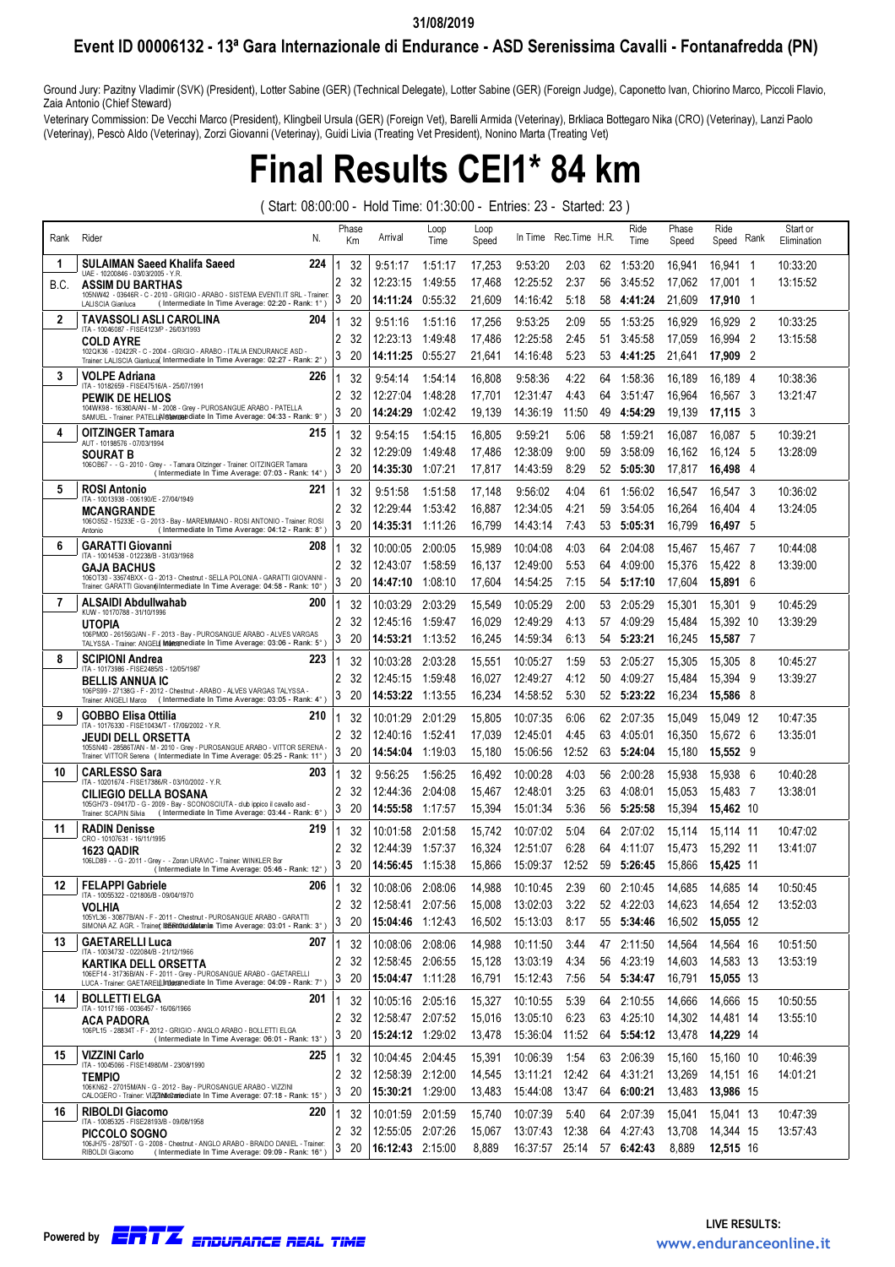### Event ID 00006132 - 13ª Gara Internazionale di Endurance - ASD Serenissima Cavalli - Fontanafredda (PN)

Ground Jury: Pazitny Vladimir (SVK) (President), Lotter Sabine (GER) (Technical Delegate), Lotter Sabine (GER) (Foreign Judge), Caponetto Ivan, Chiorino Marco, Piccoli Flavio, Zaia Antonio (Chief Steward)

Veterinary Commission: De Vecchi Marco (President), Klingbeil Ursula (GER) (Foreign Vet), Barelli Armida (Veterinay), Brkliaca Bottegaro Nika (CRO) (Veterinay), Lanzi Paolo (Veterinay), Pescò Aldo (Veterinay), Zorzi Giovanni (Veterinay), Guidi Livia (Treating Vet President), Nonino Marta (Treating Vet)

## Final Results CEI1\* 84 km

( Start: 08:00:00 - Hold Time: 01:30:00 - Entries: 23 - Started: 23 )

| Rank | Rider<br>N.                                                                                                                                                  |                | Phase<br>Km | Arrival          | Loop<br>Time | Loop<br>Speed |                 | In Time Rec. Time H.R.    |    | Ride<br>Time | Phase<br>Speed | Ride<br>Rank<br>Speed    | Start or<br>Elimination |
|------|--------------------------------------------------------------------------------------------------------------------------------------------------------------|----------------|-------------|------------------|--------------|---------------|-----------------|---------------------------|----|--------------|----------------|--------------------------|-------------------------|
| -1   | <b>SULAIMAN Saeed Khalifa Saeed</b><br>224<br>UAE - 10200846 - 03/03/2005 - Y.R.                                                                             |                | 32          | 9:51:17          | 1:51:17      | 17,253        | 9:53:20         | 2:03                      | 62 | 1:53:20      | 16,941         | 16,941 1                 | 10:33:20                |
| B.C. | <b>ASSIM DU BARTHAS</b>                                                                                                                                      | 2              | 32          | 12:23:15         | 1:49:55      | 17,468        | 12:25:52        | 2:37                      | 56 | 3:45:52      | 17,062         | 17,001 1                 | 13:15:52                |
|      | 105NW42 - 03646R - C - 2010 - GRIGIO - ARABO - SISTEMA EVENTI.IT SRL - Trainer:<br>(Intermediate In Time Average: 02:20 - Rank: 1°)<br>LALISCIA Gianluca     | 3              | 20          | 14:11:24         | 0:55:32      | 21,609        | 14:16:42        | 5:18                      | 58 | 4:41:24      | 21,609         | 17,910 1                 |                         |
| 2    | <b>TAVASSOLI ASLI CAROLINA</b><br>204<br>ITA - 10046087 - FISE4123/P - 26/03/1993                                                                            |                | 32          | 9:51:16          | 1:51:16      | 17,256        | 9:53:25         | 2:09                      | 55 | 1:53:25      | 16,929         | 16,929<br>-2             | 10:33:25                |
|      | <b>COLD AYRE</b>                                                                                                                                             | 2              | 32          | 12:23:13         | 1:49:48      | 17,486        | 12:25:58        | 2:45                      | 51 | 3:45:58      | 17,059         | 16,994<br>$\overline{2}$ | 13:15:58                |
|      | 102QK36 - 02422R - C - 2004 - GRIGIO - ARABO - ITALIA ENDURANCE ASD -<br>Trainer. LALISCIA Gianluca( Intermediate In Time Average: 02:27 - Rank: 2°)         | 3              | 20          | 14:11:25         | 0:55:27      | 21,641        | 14:16:48        | 5:23                      | 53 | 4:41:25      | 21,641         | $\overline{2}$<br>17,909 |                         |
| 3    | <b>VOLPE Adriana</b><br>226<br>ITA - 10182659 - FISE47516/A - 25/07/1991                                                                                     |                | 32          | 9:54:14          | 1:54:14      | 16,808        | 9:58:36         | 4:22                      | 64 | 1:58:36      | 16,189         | 16.189 4                 | 10:38:36                |
|      | PEWIK DE HELIOS                                                                                                                                              | 2              | 32          | 12:27:04         | 1:48:28      | 17,701        | 12:31:47        | 4:43                      | 64 | 3:51:47      | 16,964         | 16,567 3                 | 13:21:47                |
|      | 104WK98 - 16380A/AN - M - 2008 - Grey - PUROSANGUE ARABO - PATELLA<br>SAMUEL - Trainer: PATELL(Alfitemaebdiate In Time Average: 04:33 - Rank: 9°)            | 3              | 20          | 14:24:29         | 1:02:42      | 19,139        | 14:36:19        | 11:50                     | 49 | 4:54:29      | 19,139         | 17,115 3                 |                         |
| 4    | <b>OITZINGER Tamara</b><br>215                                                                                                                               |                | 32          | 9:54:15          | 1:54:15      | 16,805        | 9:59:21         | 5:06                      | 58 | 1:59:21      | 16,087         | 16.087 5                 | 10:39:21                |
|      | AUT - 10198576 - 07/03/1994<br>SOURAT B                                                                                                                      | 2              | 32          | 12:29:09         | 1:49:48      | 17,486        | 12:38:09        | 9:00                      | 59 | 3:58:09      | 16,162         | 16,124<br>-5             | 13:28:09                |
|      | 106OB67 - - G - 2010 - Grey - - Tamara Oitzinger - Trainer: OITZINGER Tamara<br>(Intermediate In Time Average: 07:03 - Rank: 14°)                            | 3              | 20          | 14:35:30         | 1:07:21      | 17,817        | 14:43:59        | 8:29                      | 52 | 5:05:30      | 17,817         | 16,498 4                 |                         |
| 5    | <b>ROSI Antonio</b><br>221<br>ITA - 100 13938 - 006 190/E - 27/04/1949                                                                                       | 1              | 32          | 9:51:58          | 1:51:58      | 17,148        | 9:56:02         | 4:04                      | 61 | 1:56:02      | 16,547         | 16,547 3                 | 10:36:02                |
|      | <b>MCANGRANDE</b>                                                                                                                                            | $\overline{2}$ | 32          | 12:29:44         | 1:53:42      | 16,887        | 12:34:05        | 4:21                      | 59 | 3:54:05      | 16,264         | 16,404<br>- 4            | 13:24:05                |
|      | 106OS52 - 15233E - G - 2013 - Bay - MAREMMANO - ROSI ANTONIO - Trainer: ROSI<br>(Intermediate In Time Average: 04:12 - Rank: 8°)<br>Antonio                  | 3              | 20          | 14:35:31         | 1:11:26      | 16,799        | 14:43:14        | 7:43                      | 53 | 5:05:31      | 16,799         | 16,497 5                 |                         |
| 6    | <b>GARATTI Giovanni</b><br>208<br>ITA - 10014538 - 012238/B - 31/03/1968                                                                                     | 1              | 32          | 10:00:05         | 2:00:05      | 15,989        | 10:04:08        | 4:03                      | 64 | 2:04:08      | 15,467         | 15,467 7                 | 10:44:08                |
|      | GAJA BACHUS                                                                                                                                                  | 2              | 32          | 12:43:07         | 1:58:59      | 16,137        | 12:49:00        | 5:53                      | 64 | 4:09:00      | 15,376         | 15,422 8                 | 13:39:00                |
|      | 106OT30 - 33674BXX - G - 2013 - Chestnut - SELLA POLONIA - GARATTI GIOVANNI -<br>Trainer, GARATTI Giovannil Intermediate In Time Average: 04:58 - Rank: 10°) | 3              | 20          | 14:47:10         | 1:08:10      | 17,604        | 14:54:25        | 7:15                      | 54 | 5:17:10      | 17,604         | 15,891 6                 |                         |
| 7    | ALSAIDI Abdullwahab<br>200<br>KUW - 10170788 - 31/10/1996                                                                                                    | 1              | 32          | 10:03:29         | 2:03:29      | 15,549        | 10:05:29        | 2:00                      | 53 | 2:05:29      | 15,301         | 15.301 9                 | 10:45:29                |
|      | UTOPIA                                                                                                                                                       | $\overline{2}$ | 32          | 12:45:16         | 1:59:47      | 16,029        | 12:49:29        | 4:13                      | 57 | 4:09:29      | 15,484         | 15,392 10                | 13:39:29                |
|      | 106PM00 - 26156G/AN - F - 2013 - Bay - PUROSANGUE ARABO - ALVES VARGAS<br>TALYSSA - Trainer: ANGEL Intermediate In Time Average: 03:06 - Rank: 5°)           | 3              | 20          | 14:53:21         | 1:13:52      | 16,245        | 14:59:34        | 6:13                      | 54 | 5:23:21      | 16,245         | 15,587 7                 |                         |
| 8    | <b>SCIPIONI Andrea</b><br>223<br>ITA - 10173986 - FISE2485/S - 12/05/1987                                                                                    |                | 32          | 10:03:28         | 2:03:28      | 15,551        | 10:05:27        | 1:59                      | 53 | 2:05:27      | 15,305         | 15,305 8                 | 10:45:27                |
|      | <b>BELLIS ANNUA IC</b>                                                                                                                                       | $\overline{2}$ | 32          | 12:45:15         | 1:59:48      | 16,027        | 12:49:27        | 4:12                      | 50 | 4:09:27      | 15,484         | 15,394<br>- 9            | 13:39:27                |
|      | 106PS99 - 27138G - F - 2012 - Chestnut - ARABO - ALVES VARGAS TALYSSA -<br>Trainer. ANGELI Marco (Intermediate In Time Average: 03:05 - Rank: 4°)            | 3              | 20          | 14:53:22         | 1:13:55      | 16,234        | 14:58:52        | 5:30                      | 52 | 5:23:22      | 16,234         | 15,586 8                 |                         |
| 9    | <b>GOBBO Elisa Ottilia</b><br>210<br>ITA - 10176330 - FISE10434/T - 17/06/2002 - Y.R.                                                                        | 1              | 32          | 10:01:29         | 2:01:29      | 15,805        | 10:07:35        | 6:06                      | 62 | 2:07:35      | 15,049         | 15,049 12                | 10:47:35                |
|      | JEUDI DELL ORSETTA                                                                                                                                           | $\overline{2}$ | 32          | 12:40:16         | 1:52:41      | 17,039        | 12:45:01        | 4:45                      | 63 | 4:05:01      | 16,350         | 15,672 6                 | 13:35:01                |
|      | 105SN40 - 28586T/AN - M - 2010 - Grey - PUROSANGUE ARABO - VITTOR SERENA -<br>Trainer. VITTOR Serena (Intermediate In Time Average: 05:25 - Rank: 11°)       | 3              | 20          | 14:54:04         | 1:19:03      | 15,180        | 15:06:56        | 12:52                     | 63 | 5:24:04      | 15,180         | 15,552 9                 |                         |
| 10   | <b>CARLESSO Sara</b><br>203<br>ITA - 10201674 - FISE17386/R - 03/10/2002 - Y.R.                                                                              |                | 32          | 9:56:25          | 1:56:25      | 16,492        | 10:00:28        | 4:03                      | 56 | 2:00:28      | 15,938         | 15,938 6                 | 10:40:28                |
|      | <b>CILIEGIO DELLA BOSANA</b><br>105GH73 - 09417D - G - 2009 - Bay - SCONOSCIUTA - club ippico il cavallo asd -                                               | 2              | 32          | 12:44:36         | 2:04:08      | 15,467        | 12:48:01        | 3:25                      | 63 | 4:08:01      | 15,053         | 15,483 7                 | 13:38:01                |
|      | Trainer: SCAPIN Silvia<br>(Intermediate In Time Average: 03:44 - Rank: 6°)                                                                                   | 3              | 20          | 14:55:58         | 1:17:57      | 15,394        | 15:01:34        | 5:36                      | 56 | 5:25:58      | 15,394         | 15,462 10                |                         |
| 11   | <b>RADIN Denisse</b><br>219<br>CRO - 10107631 - 16/11/1995                                                                                                   |                | 32          | 10:01:58         | 2:01:58      | 15,742        | 10:07:02        | 5:04                      | 64 | 2:07:02      | 15,114         | 15,114 11                | 10:47:02                |
|      | 1623 QADIR<br>106LD89 - - G - 2011 - Grey - - Zoran URAVIC - Trainer: WINKLER Bor                                                                            | 2              | 32          | 12:44:39         | 1:57:37      | 16,324        | 12:51:07        | 6:28                      | 64 | 4:11:07      | 15.473         | 15.292 11                | 13:41:07                |
|      | (Intermediate In Time Average: 05:46 - Rank: 12°)                                                                                                            | 3              | 20          | 14:56:45         | 1:15:38      | 15,866        | 15:09:37        | 12:52                     | 59 | 5:26:45      | 15,866         | 15,425 11                |                         |
| 12   | <b>FELAPPI Gabriele</b><br>206<br>ITA - 10055322 - 021806/B - 09/04/1970                                                                                     | 1              | 32          | 10:08:06         | 2:08:06      | 14,988        | 10:10:45        | 2:39                      | 60 | 2:10:45      | 14.685         | 14.685 14                | 10:50:45                |
|      | <b>VOLHIA</b><br>105YL36 - 30877B/AN - F - 2011 - Chestnut - PUROSANGUE ARABO - GARATTI                                                                      | 2              | 32          | 12:58:41 2:07:56 |              |               | 15,008 13:02:03 | 3:22                      |    | 52 4:22:03   | 14,623         | 14,654 12                | 13:52:03                |
|      | SIMONA AZ. AGR. - Traine(: ISEBITOLE dilatania Time Average: 03:01 - Rank: 3°)                                                                               | 3              | 20          | 15:04:46 1:12:43 |              | 16,502        | 15:13:03        | 8:17                      |    | 55 5:34:46   | 16,502         | 15,055 12                |                         |
| 13   | <b>GAETARELLI Luca</b><br>207<br>ITA - 10034732 - 022084/B - 21/12/1966                                                                                      | 1              | 32          | 10:08:06 2:08:06 |              | 14,988        | 10:11:50        | 3:44                      |    | 47 2:11:50   | 14,564         | 14,564 16                | 10:51:50                |
|      | KARTIKA DELL ORSETTA<br>106EF14 - 31736B/AN - F - 2011 - Grey - PUROSANGUE ARABO - GAETARELLI                                                                | 2              | 32          | 12:58:45 2:06:55 |              | 15,128        | 13:03:19        | 4:34                      | 56 | 4:23:19      | 14,603         | 14,583 13                | 13:53:19                |
|      | LUCA - Trainer: GAETAREL(Liritiaranediate In Time Average: 04:09 - Rank: 7°)                                                                                 | 3              | 20          | 15:04:47 1:11:28 |              | 16,791        | 15:12:43        | 7:56                      |    | 54 5:34:47   | 16,791         | 15,055 13                |                         |
| 14   | <b>BOLLETTI ELGA</b><br>201<br>ITA - 10117166 - 0036457 - 16/06/1966                                                                                         | 1              | 32          | 10:05:16 2:05:16 |              | 15,327        | 10:10:55        | 5:39                      |    | 64 2:10:55   | 14,666         | 14,666 15                | 10:50:55                |
|      | ACA PADORA<br>106PL15 - 28834T - F - 2012 - GRIGIO - ANGLO ARABO - BOLLETTI ELGA                                                                             | 2              | 32          | 12:58:47 2:07:52 |              | 15,016        | 13:05:10        | 6:23                      |    | 63 4:25:10   | 14,302         | 14,481 14                | 13:55:10                |
|      | (Intermediate In Time Average: 06:01 - Rank: 13°)                                                                                                            | 3              | -20         | 15:24:12 1:29:02 |              | 13,478        | 15:36:04 11:52  |                           |    | 64 5:54:12   | 13,478         | 14,229 14                |                         |
| 15   | <b>VIZZINI Carlo</b><br>225<br>ITA - 10045066 - FISE14980/M - 23/08/1990                                                                                     |                | 32          | 10:04:45 2:04:45 |              | 15,391        | 10:06:39        | 1:54                      | 63 | 2:06:39      | 15,160         | 15,160 10                | 10:46:39                |
|      | <b>TEMPIO</b><br>106KN62 - 27015M/AN - G - 2012 - Bay - PUROSANGUE ARABO - VIZZINI                                                                           | 2              | 32          | 12:58:39 2:12:00 |              | 14,545        | 13:11:21        | 12:42                     |    | 64 4:31:21   | 13,269         | 14,151 16                | 14:01:21                |
|      | CALOGERO - Trainer: VIZZINIGCanodiate In Time Average: 07:18 - Rank: 15°)                                                                                    | 3              | -20         | 15:30:21 1:29:00 |              | 13,483        | 15:44:08 13:47  |                           |    | 64 6:00:21   | 13,483         | 13,986 15                |                         |
| 16   | <b>RIBOLDI Giacomo</b><br>220<br>ITA - 10085325 - FISE28193/B - 09/08/1958                                                                                   | 1              | 32          | 10:01:59 2:01:59 |              | 15,740        | 10:07:39        | 5:40                      |    | 64 2:07:39   | 15,041         | 15,041 13                | 10:47:39                |
|      | <b>PICCOLO SOGNO</b><br>106JH75 - 28750T - G - 2008 - Chestnut - ANGLO ARABO - BRAIDO DANIEL - Trainer:                                                      | $\mathbf{2}$   | 32          | 12:55:05 2:07:26 |              | 15,067        | 13:07:43 12:38  |                           |    | 64 4:27:43   | 13,708         | 14,344 15                | 13:57:43                |
|      | (Intermediate In Time Average: 09:09 - Rank: 16°)<br>RIBOLDI Giacomo                                                                                         | 3              | 20          | 16:12:43 2:15:00 |              | 8,889         |                 | 16:37:57 25:14 57 6:42:43 |    |              | 8,889          | 12,515 16                |                         |